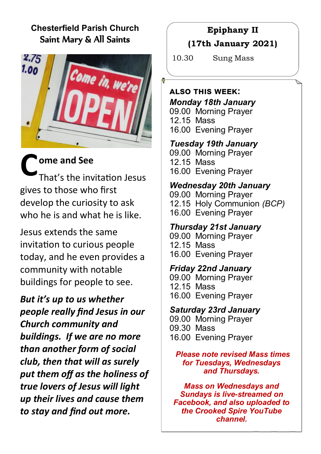# **Chesterfield Parish Church** Saint Mary & All Saints



# **ome and See**

**C** That's the invitation Jesus gives to those who first develop the curiosity to ask who he is and what he is like.

Jesus extends the same invitation to curious people today, and he even provides a community with notable buildings for people to see.

*But it's up to us whether people really find Jesus in our Church community and buildings. If we are no more than another form of social club, then that will as surely put them off as the holiness of true lovers of Jesus will light up their lives and cause them to stay and find out more.*

# **Epiphany II (17th January 2021)**

10.30 Sung Mass

**also this week:**

*Monday 18th January* 09.00 Morning Prayer 12.15 Mass 16.00 Evening Prayer

## *Tuesday 19th January*

09.00 Morning Prayer 12.15 Mass 16.00 Evening Prayer

## *Wednesday 20th January*

09.00 Morning Prayer 12.15 Holy Communion *(BCP)* 16.00 Evening Prayer

## *Thursday 21st January*

09.00 Morning Prayer 12.15 Mass 16.00 Evening Prayer

## *Friday 22nd January*

09.00 Morning Prayer 12.15 Mass 16.00 Evening Prayer

## *Saturday 23rd January*

09.00 Morning Prayer 09.30 Mass 16.00 Evening Prayer

### *Please note revised Mass times for Tuesdays, Wednesdays and Thursdays.*

*Mass on Wednesdays and Sundays is live-streamed on Facebook, and also uploaded to the Crooked Spire YouTube channel.*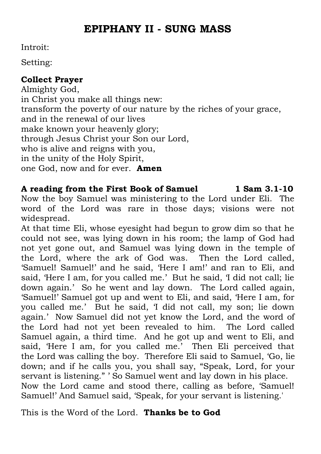## **EPIPHANY II - SUNG MASS**

Introit:

Setting:

## **Collect Prayer**

Almighty God, in Christ you make all things new: transform the poverty of our nature by the riches of your grace, and in the renewal of our lives make known your heavenly glory; through Jesus Christ your Son our Lord, who is alive and reigns with you, in the unity of the Holy Spirit, one God, now and for ever. **Amen**

**A reading from the First Book of Samuel 1 Sam 3.1-10** Now the boy Samuel was ministering to the Lord under Eli. The word of the Lord was rare in those days; visions were not widespread.

At that time Eli, whose eyesight had begun to grow dim so that he could not see, was lying down in his room; the lamp of God had not yet gone out, and Samuel was lying down in the temple of the Lord, where the ark of God was. Then the Lord called, 'Samuel! Samuel!' and he said, 'Here I am!' and ran to Eli, and said, 'Here I am, for you called me.' But he said, 'I did not call; lie down again.' So he went and lay down. The Lord called again, 'Samuel!' Samuel got up and went to Eli, and said, 'Here I am, for you called me.' But he said, 'I did not call, my son; lie down again.' Now Samuel did not yet know the Lord, and the word of the Lord had not yet been revealed to him. The Lord called Samuel again, a third time. And he got up and went to Eli, and said, 'Here I am, for you called me.' Then Eli perceived that the Lord was calling the boy. Therefore Eli said to Samuel, 'Go, lie down; and if he calls you, you shall say, "Speak, Lord, for your servant is listening." ' So Samuel went and lay down in his place. Now the Lord came and stood there, calling as before, 'Samuel! Samuel!' And Samuel said, 'Speak, for your servant is listening.'

This is the Word of the Lord. **Thanks be to God**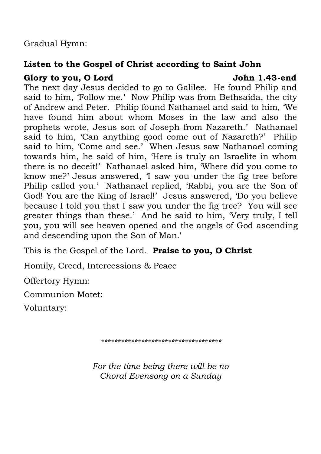## Gradual Hymn:

## **Listen to the Gospel of Christ according to Saint John**

## Glory to you, O Lord John 1.43-end

The next day Jesus decided to go to Galilee. He found Philip and said to him, 'Follow me.' Now Philip was from Bethsaida, the city of Andrew and Peter. Philip found Nathanael and said to him, 'We have found him about whom Moses in the law and also the prophets wrote, Jesus son of Joseph from Nazareth.' Nathanael said to him, 'Can anything good come out of Nazareth?' Philip said to him, 'Come and see.' When Jesus saw Nathanael coming towards him, he said of him, 'Here is truly an Israelite in whom there is no deceit!' Nathanael asked him, 'Where did you come to know me?' Jesus answered, 'I saw you under the fig tree before Philip called you.' Nathanael replied, 'Rabbi, you are the Son of God! You are the King of Israel!' Jesus answered, 'Do you believe because I told you that I saw you under the fig tree? You will see greater things than these.' And he said to him, 'Very truly, I tell you, you will see heaven opened and the angels of God ascending and descending upon the Son of Man.'

This is the Gospel of the Lord. **Praise to you, O Christ**

Homily, Creed, Intercessions & Peace

Offertory Hymn:

Communion Motet:

Voluntary:

*\*\*\*\*\*\*\*\*\*\*\*\*\*\*\*\*\*\*\*\*\*\*\*\*\*\*\*\*\*\*\*\*\*\*\*\**

*For the time being there will be no Choral Evensong on a Sunday*